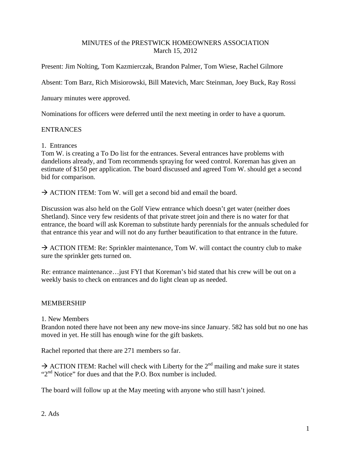## MINUTES of the PRESTWICK HOMEOWNERS ASSOCIATION March 15, 2012

Present: Jim Nolting, Tom Kazmierczak, Brandon Palmer, Tom Wiese, Rachel Gilmore

Absent: Tom Barz, Rich Misiorowski, Bill Matevich, Marc Steinman, Joey Buck, Ray Rossi

January minutes were approved.

Nominations for officers were deferred until the next meeting in order to have a quorum.

## ENTRANCES

1. Entrances

Tom W. is creating a To Do list for the entrances. Several entrances have problems with dandelions already, and Tom recommends spraying for weed control. Koreman has given an estimate of \$150 per application. The board discussed and agreed Tom W. should get a second bid for comparison.

 $\rightarrow$  ACTION ITEM: Tom W. will get a second bid and email the board.

Discussion was also held on the Golf View entrance which doesn't get water (neither does Shetland). Since very few residents of that private street join and there is no water for that entrance, the board will ask Koreman to substitute hardy perennials for the annuals scheduled for that entrance this year and will not do any further beautification to that entrance in the future.

 $\rightarrow$  ACTION ITEM: Re: Sprinkler maintenance, Tom W. will contact the country club to make sure the sprinkler gets turned on.

Re: entrance maintenance…just FYI that Koreman's bid stated that his crew will be out on a weekly basis to check on entrances and do light clean up as needed.

# MEMBERSHIP

1. New Members

Brandon noted there have not been any new move-ins since January. 582 has sold but no one has moved in yet. He still has enough wine for the gift baskets.

Rachel reported that there are 271 members so far.

 $\rightarrow$  ACTION ITEM: Rachel will check with Liberty for the 2<sup>nd</sup> mailing and make sure it states " $2<sup>nd</sup>$  Notice" for dues and that the P.O. Box number is included.

The board will follow up at the May meeting with anyone who still hasn't joined.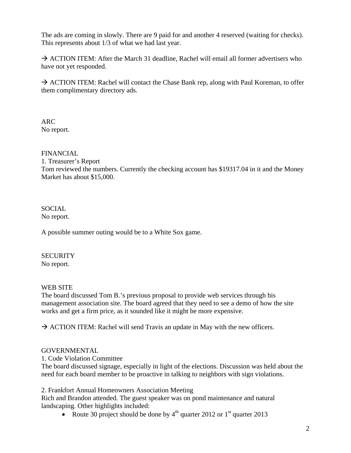The ads are coming in slowly. There are 9 paid for and another 4 reserved (waiting for checks). This represents about 1/3 of what we had last year.

 $\rightarrow$  ACTION ITEM: After the March 31 deadline, Rachel will email all former advertisers who have not yet responded.

 $\rightarrow$  ACTION ITEM: Rachel will contact the Chase Bank rep, along with Paul Koreman, to offer them complimentary directory ads.

ARC No report.

## FINANCIAL

1. Treasurer's Report Tom reviewed the numbers. Currently the checking account has \$19317.04 in it and the Money Market has about \$15,000.

#### **SOCIAL** No report.

A possible summer outing would be to a White Sox game.

### **SECURITY** No report.

# WEB SITE

The board discussed Tom B.'s previous proposal to provide web services through his management association site. The board agreed that they need to see a demo of how the site works and get a firm price, as it sounded like it might be more expensive.

 $\rightarrow$  ACTION ITEM: Rachel will send Travis an update in May with the new officers.

# GOVERNMENTAL

1. Code Violation Committee

The board discussed signage, especially in light of the elections. Discussion was held about the need for each board member to be proactive in talking to neighbors with sign violations.

2. Frankfort Annual Homeowners Association Meeting

Rich and Brandon attended. The guest speaker was on pond maintenance and natural landscaping. Other highlights included:

• Route 30 project should be done by  $4<sup>th</sup>$  quarter 2012 or  $1<sup>st</sup>$  quarter 2013